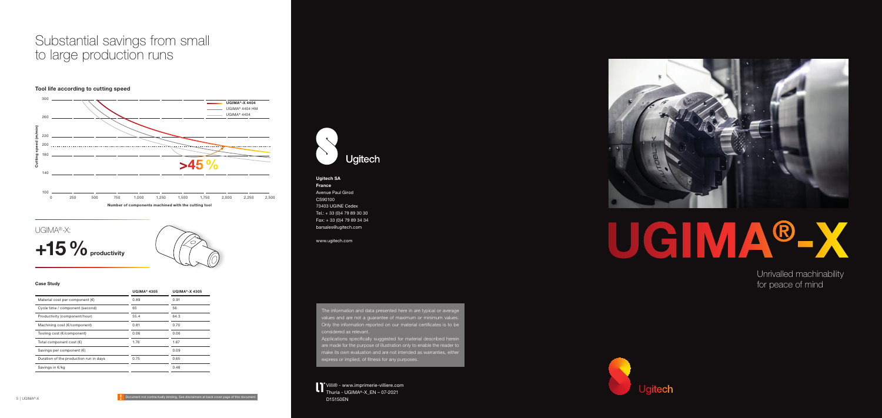informations indiquées sur nos certificats matières doivent être

Villi® - www.imprimerie-villiere.com Thuria - UGIMA®-X\_EN – 07-2021 D15150EN

Ugitech SA France Avenue Paul Girod C<sub>330100</sub> 73403 UGINE Cedex Tel.: + 33 (0)4 79 89 30 30 Fax: + 33 (0)4 79 89 34 34 CS90100 barsales@ugitech.com



# UGIMAR

### Substantial savings from small to large production runs

### Case Study

Applications specifically suggested for material described herein are made for the purpose of illustration only to enable the reader to make its own evaluation and are not intended as warranties, either express or implied, of fitness for any purposes.

|                                          | UGIMA <sup>®</sup> 4305 | $UGIMA^{\circ}$ -X 4305 |
|------------------------------------------|-------------------------|-------------------------|
| Material cost per component $(\epsilon)$ | 0.89                    | 0.91                    |
| Cycle time / component (second)          | 65                      | 56                      |
| Productivity (component/hour)            | 55.4                    | 64.3                    |
| Machining cost (€/component)             | 0.81                    | 0.70                    |
| Tooling cost (€/component)               | 0.06                    | 0.06                    |
| Total component cost $(\epsilon)$        | 1.76                    | 1.67                    |
| Savings per component $(\epsilon)$       |                         | 0.09                    |
| Duration of the production run in days   | 0.75                    | 0.65                    |
| Savings in €/kg                          |                         | 0.48                    |



Unrivalled machinability for peace of mind



UGIMA®-X: +15 % productivity



tractually binding. See disclaimers at back cover page of this docu

### **Tool life according to cutting speed**

www.ugitech.com

The information and data presented here in are typical or average values and are not a guarantee of maximum or minimum values. Only the information reported on our material certificates is to be d'évaluer par le possible de la matière possible de la matière en question, en question, en question, en question, en question, en question, en question, en question, en question, en question, en question, en question, en